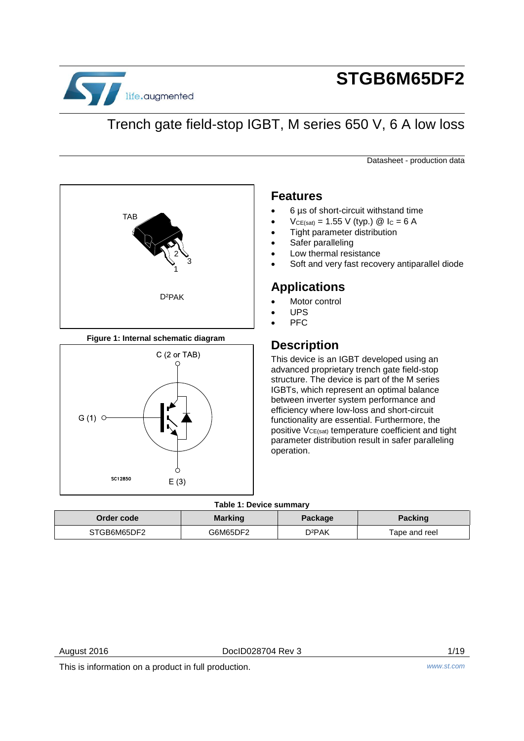

# **STGB6M65DF2**

# Trench gate field-stop IGBT, M series 650 V, 6 A low loss

Datasheet - production data



## **Figure 1: Internal schematic diagram**



## **Features**

- 6 µs of short-circuit withstand time
- $V_{CE(sat)} = 1.55 V$  (typ.)  $\textcircled{2}$  Ic = 6 A
- Tight parameter distribution
- Safer paralleling
- Low thermal resistance
- Soft and very fast recovery antiparallel diode

# **Applications**

- Motor control
- UPS
- PFC

# **Description**

This device is an IGBT developed using an advanced proprietary trench gate field-stop structure. The device is part of the M series IGBTs, which represent an optimal balance between inverter system performance and efficiency where low-loss and short-circuit functionality are essential. Furthermore, the positive  $V_{CE(sat)}$  temperature coefficient and tight parameter distribution result in safer paralleling operation.

## **Table 1: Device summary**

| Order code l | <b>Marking</b> | Package | <b>Packing</b> |
|--------------|----------------|---------|----------------|
| STGB6M65DF2  | G6M65DF2       | D2PAK   | Tape and reel  |

This is information on a product in full production. *www.st.com*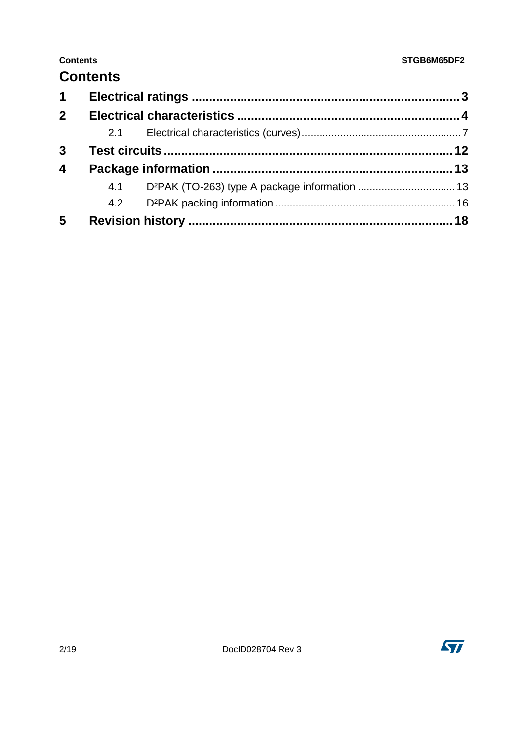# **Contents**

| $\mathbf 1$             |     |  |
|-------------------------|-----|--|
| 2 <sup>1</sup>          |     |  |
|                         | 2.1 |  |
| $\overline{3}$          |     |  |
| $\overline{\mathbf{4}}$ |     |  |
|                         |     |  |
|                         |     |  |
| 5                       |     |  |

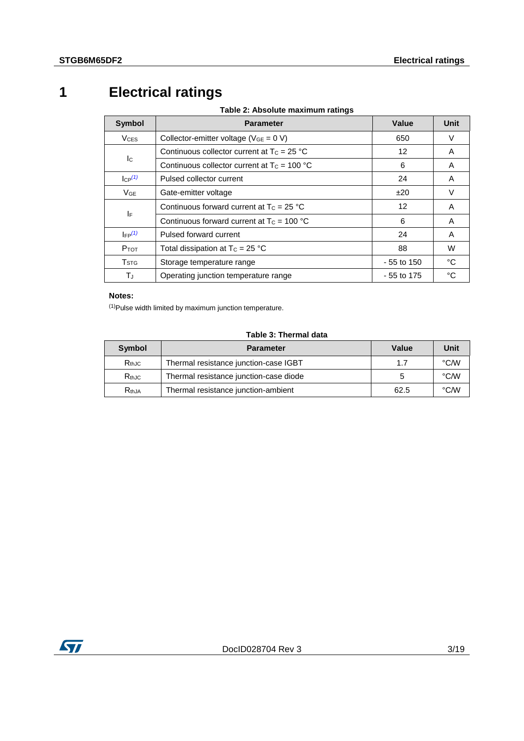# **1 Electrical ratings**

**Table 2: Absolute maximum ratings** 

<span id="page-2-2"></span><span id="page-2-0"></span>

| <b>Symbol</b>             | <b>Parameter</b>                               | Value        | Unit |
|---------------------------|------------------------------------------------|--------------|------|
| <b>VCES</b>               | Collector-emitter voltage ( $V_{GE} = 0 V$ )   | 650          | V    |
| $\mathsf{I}^{\mathsf{C}}$ | Continuous collector current at $T_c = 25 °C$  | 12           | A    |
|                           | Continuous collector current at $T_c = 100 °C$ | 6            | A    |
| $I_{CP}$ <sup>(1)</sup>   | Pulsed collector current                       | 24           | A    |
| $V_{GE}$                  | Gate-emitter voltage                           | ±20          | V    |
| ΙF                        | Continuous forward current at $T_c = 25$ °C    | 12           | A    |
|                           | Continuous forward current at $T_c = 100 °C$   | 6            | A    |
| $I_{FP}(1)$               | Pulsed forward current                         | 24           | A    |
| $P_{TOT}$                 | Total dissipation at $T_c = 25 °C$             | 88           | W    |
| <b>T</b> <sub>STG</sub>   | Storage temperature range                      | $-55$ to 150 | °C   |
| TJ.                       | Operating junction temperature range           | $-55$ to 175 | °C   |

## **Notes:**

<span id="page-2-1"></span> $(1)$ Pulse width limited by maximum junction temperature.

## **Table 3: Thermal data**

| Symbol      | <b>Parameter</b>                       | Value | Unit |
|-------------|----------------------------------------|-------|------|
| $R_{th,IC}$ | Thermal resistance junction-case IGBT  | 17    | °C/W |
| $R_{th,IC}$ | Thermal resistance junction-case diode |       | °C/W |
| $R_{th,JA}$ | Thermal resistance junction-ambient    | 62.5  | °C/W |

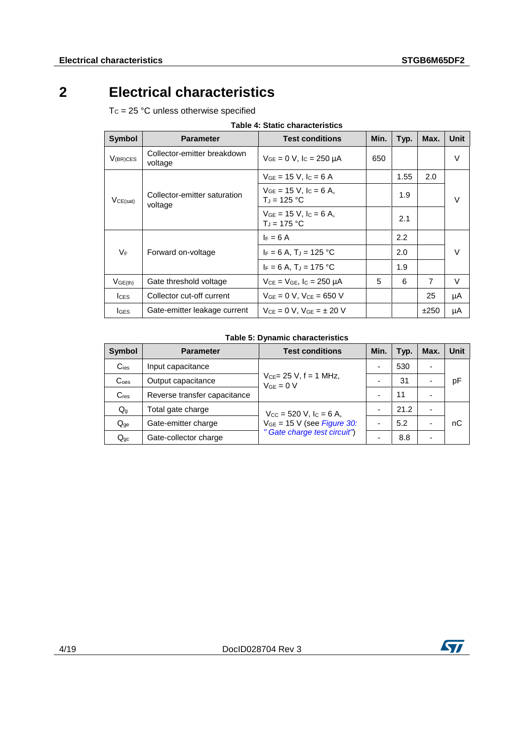# **2 Electrical characteristics**

<span id="page-3-0"></span> $T_c = 25 °C$  unless otherwise specified

<span id="page-3-1"></span>

|                     |                                        | Table 4: Static characteristics                          |      |      |                |             |
|---------------------|----------------------------------------|----------------------------------------------------------|------|------|----------------|-------------|
| <b>Symbol</b>       | <b>Parameter</b>                       | <b>Test conditions</b>                                   | Min. | Typ. | Max.           | <b>Unit</b> |
| $V_{(BR)CES}$       | Collector-emitter breakdown<br>voltage | $V_{GE} = 0 V$ , $I_C = 250 \mu A$                       | 650  |      |                | V           |
|                     |                                        | $V_{GE}$ = 15 V, $I_C$ = 6 A                             |      | 1.55 | 2.0            |             |
| VCE(sat)<br>voltage | Collector-emitter saturation           | $V_{GE}$ = 15 V, I <sub>C</sub> = 6 A,<br>$T_J = 125 °C$ |      | 1.9  |                | V           |
|                     |                                        | $V_{GE}$ = 15 V, $I_C$ = 6 A,<br>$T_J = 175 °C$          |      | 2.1  |                |             |
|                     |                                        | $F = 6A$                                                 |      | 2.2  |                |             |
| <b>VF</b>           | Forward on-voltage                     | $I_F = 6 A$ , T <sub>J</sub> = 125 °C                    |      | 2.0  |                | $\vee$      |
|                     |                                        | $I_F = 6 A$ , T <sub>J</sub> = 175 °C                    |      | 1.9  |                |             |
| $V$ GE(th)          | Gate threshold voltage                 | $V_{CE} = V_{GE}$ , $I_C = 250 \mu A$                    | 5    | 6    | $\overline{7}$ | V           |
| $l$ <sub>CES</sub>  | Collector cut-off current              | $V_{GE} = 0 V$ , $V_{CE} = 650 V$                        |      |      | 25             | μA          |
| <b>I</b> GES        | Gate-emitter leakage current           | $V_{CF} = 0 V. V_{GF} = \pm 20 V$                        |      |      | ±250           | μA          |

## **Table 4: Static characteristics**

## **Table 5: Dynamic characteristics**

<span id="page-3-2"></span>

| <b>Symbol</b>             | <b>Parameter</b>                                                               | <b>Test conditions</b>                         | Min. | Typ. | Max. | <b>Unit</b> |
|---------------------------|--------------------------------------------------------------------------------|------------------------------------------------|------|------|------|-------------|
| $C_{\text{ies}}$          | Input capacitance                                                              |                                                |      | 530  |      |             |
| C <sub>oes</sub>          | Output capacitance                                                             | $V_{CE} = 25 V$ , f = 1 MHz,<br>$V_{GE} = 0 V$ |      | 31   |      | рF          |
| $C_{res}$                 | Reverse transfer capacitance                                                   |                                                |      | 11   |      |             |
| $\mathsf{Q}_{\mathsf{g}}$ | Total gate charge<br>$V_{\text{CC}} = 520 \text{ V}, \text{IC} = 6 \text{ A},$ |                                                |      | 21.2 |      |             |
| $Q_{qe}$                  | Gate-emitter charge                                                            | $VGE = 15 V$ (see Figure 30:                   |      | 5.2  |      | nС          |
| $Q_{gc}$                  | Gate-collector charge                                                          | Gate charge test circuit")                     |      | 8.8  |      |             |

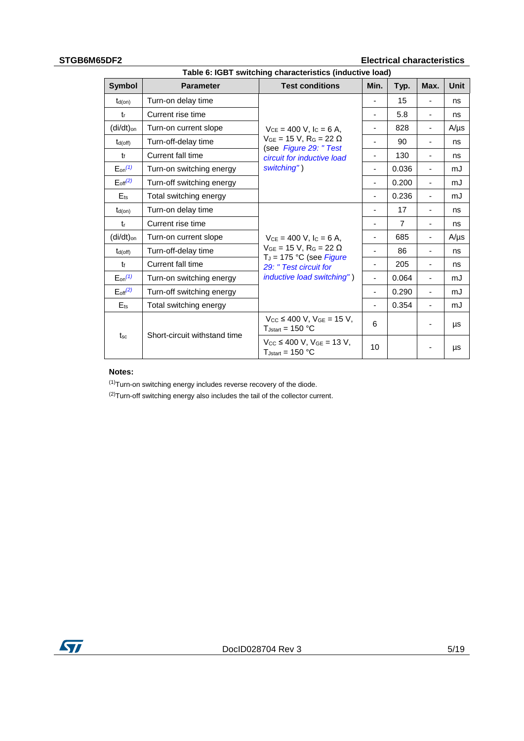# **STGB6M65DF2 Electrical characteristics**

|                         | Table 6: IGBT switching characteristics (inductive load) |                                                                           |                          |                |                              |             |
|-------------------------|----------------------------------------------------------|---------------------------------------------------------------------------|--------------------------|----------------|------------------------------|-------------|
| <b>Symbol</b>           | <b>Parameter</b>                                         | <b>Test conditions</b>                                                    | Min.                     | Typ.           | Max.                         | <b>Unit</b> |
| $t_{d(on)}$             | Turn-on delay time                                       |                                                                           |                          | 15             |                              | ns          |
| tr                      | Current rise time                                        |                                                                           | ٠                        | 5.8            | $\overline{\phantom{a}}$     | ns          |
| (di/dt) <sub>on</sub>   | Turn-on current slope                                    | $V_{CE} = 400$ V, $I_C = 6$ A,                                            |                          | 828            |                              | $A/\mu s$   |
| $t_{d(off)}$            | Turn-off-delay time                                      | $V_{GE} = 15 V$ , R <sub>G</sub> = 22 $\Omega$                            | ٠                        | 90             | $\overline{a}$               | ns          |
| $t_{f}$                 | Current fall time                                        | (see Figure 29: "Test<br>circuit for inductive load                       | ٠                        | 130            | $\overline{\phantom{0}}$     | ns          |
| $E_{on}^{(1)}$          | Turn-on switching energy                                 | switching")                                                               | $\overline{\phantom{m}}$ | 0.036          | $\qquad \qquad \blacksquare$ | mJ          |
| $E_{\text{off}}^{(2)}$  | Turn-off switching energy                                |                                                                           | -                        | 0.200          |                              | mJ          |
| $E$ <sub>ts</sub>       | Total switching energy                                   |                                                                           | ٠                        | 0.236          |                              | mJ          |
| $t_{d(on)}$             | Turn-on delay time                                       |                                                                           |                          | 17             |                              | ns          |
| $t_{r}$                 | Current rise time                                        |                                                                           | ٠                        | $\overline{7}$ | $\qquad \qquad \blacksquare$ | ns          |
| (di/dt) <sub>on</sub>   | Turn-on current slope                                    | $V_{CE} = 400$ V, $I_C = 6$ A,                                            |                          | 685            |                              | $A/\mu s$   |
| $t_{d(off)}$            | Turn-off-delay time                                      | $V_{GE} = 15 V$ , R <sub>G</sub> = 22 $\Omega$                            |                          | 86             |                              | ns          |
| t                       | Current fall time                                        | $T_J = 175$ °C (see Figure<br>29: "Test circuit for                       |                          | 205            |                              | ns          |
| $E_{on}$ <sup>(1)</sup> | Turn-on switching energy                                 | <i>inductive load switching")</i>                                         | ÷,                       | 0.064          | $\overline{a}$               | mJ          |
| $E_{off}(2)$            | Turn-off switching energy                                |                                                                           | ä,                       | 0.290          |                              | mJ          |
| $E_{ts}$                | Total switching energy                                   |                                                                           | ٠                        | 0.354          | $\overline{a}$               | mJ          |
|                         | Short-circuit withstand time                             | $V_{CC} \le 400$ V, $V_{GE} = 15$ V,<br>$T_{Jstart} = 150 °C$             | 6                        |                |                              | μs          |
| $t_{\rm sc}$            |                                                          | $V_{\text{CC}}$ ≤ 400 V, $V_{\text{GE}}$ = 13 V,<br>$T_{Jstart} = 150 °C$ | 10                       |                |                              | μs          |

## **Notes:**

<span id="page-4-0"></span> $(1)$ Turn-on switching energy includes reverse recovery of the diode.

<span id="page-4-2"></span><span id="page-4-1"></span> $(2)$ Turn-off switching energy also includes the tail of the collector current.

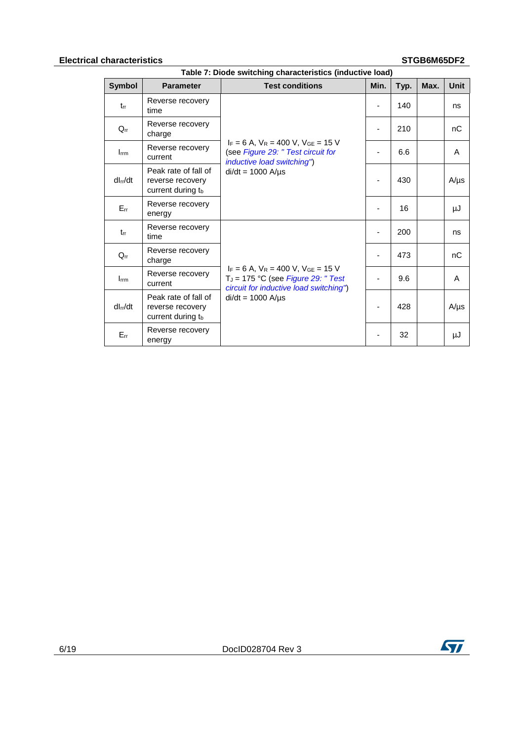## **Electrical characteristics STGB6M65DF2**

| Table 7: Diode switching characteristics (inductive load) |                                                               |                                                                                                                         |      |      |      |           |
|-----------------------------------------------------------|---------------------------------------------------------------|-------------------------------------------------------------------------------------------------------------------------|------|------|------|-----------|
| <b>Symbol</b>                                             | <b>Parameter</b>                                              | <b>Test conditions</b>                                                                                                  | Min. | Typ. | Max. | Unit      |
| $t_{rr}$                                                  | Reverse recovery<br>time                                      |                                                                                                                         |      | 140  |      | ns        |
| $Q_{rr}$                                                  | Reverse recovery<br>charge                                    | $I_F = 6$ A, $V_R = 400$ V, $V_{GE} = 15$ V<br>(see Figure 29: " Test circuit for<br><i>inductive load switching"</i> ) |      | 210  |      | nC        |
| $I$ <sub>rm</sub>                                         | Reverse recovery<br>current                                   |                                                                                                                         |      | 6.6  |      | A         |
| dl <sub>rr</sub> /dt                                      | Peak rate of fall of<br>reverse recovery<br>current during tb | $di/dt = 1000$ A/ $\mu$ s                                                                                               |      | 430  |      | $A/\mu s$ |
| $E_{rr}$                                                  | Reverse recovery<br>energy                                    |                                                                                                                         |      | 16   |      | μJ        |
| $t_{rr}$                                                  | Reverse recovery<br>time                                      |                                                                                                                         |      | 200  |      | ns        |
| $Q_{rr}$                                                  | Reverse recovery<br>charge                                    | $I_F = 6$ A, $V_R = 400$ V, $V_{GE} = 15$ V<br>$T_J = 175$ °C (see Figure 29: "Test                                     |      | 473  |      | nC        |
| $I_{\text{rrm}}$                                          | Reverse recovery<br>current                                   |                                                                                                                         |      | 9.6  |      | A         |
| dl <sub>rr</sub> /dt                                      | Peak rate of fall of<br>reverse recovery<br>current during tb | circuit for inductive load switching")<br>$di/dt = 1000$ A/ $\mu$ s                                                     |      | 428  |      | $A/\mu s$ |
| $E_{rr}$                                                  | Reverse recovery<br>energy                                    |                                                                                                                         |      | 32   |      | μJ        |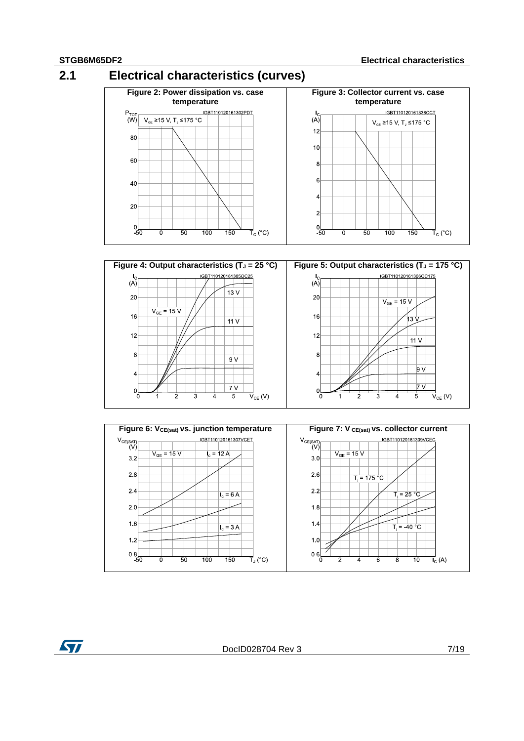<span id="page-6-0"></span>





**ST** 

DocID028704 Rev 3 7/19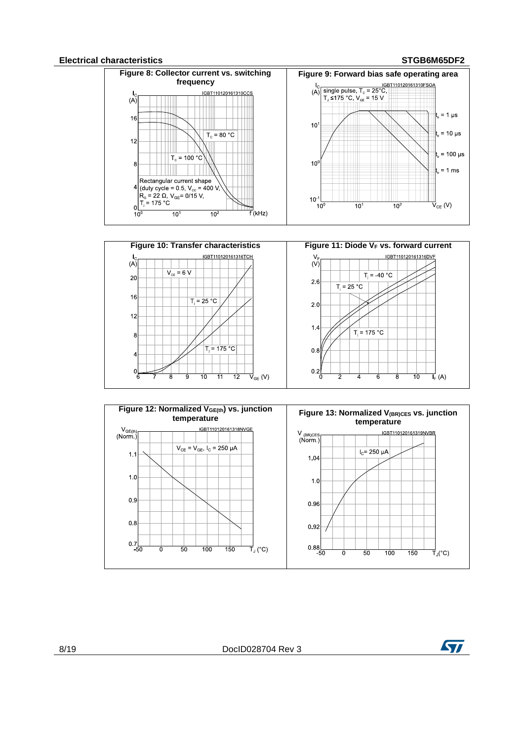### **Electrical characteristics STGB6M65DF2**

 $\overline{0}$ 

ਕ g 10  $\overline{11}$ 

<span id="page-7-0"></span>

<span id="page-7-1"></span>

 $\overrightarrow{\mathsf{V}}_{\mathsf{GE}}\left( \mathsf{V}\right)$ 

 $\overline{12}$ 

 $0.2$ 

a

2

 $\overline{6}$ 

 $\overline{\mathbf{8}}$ 

8/19 DocID028704 Rev 3



 $\overrightarrow{I}_{F}$  (A)

 $\overline{10}$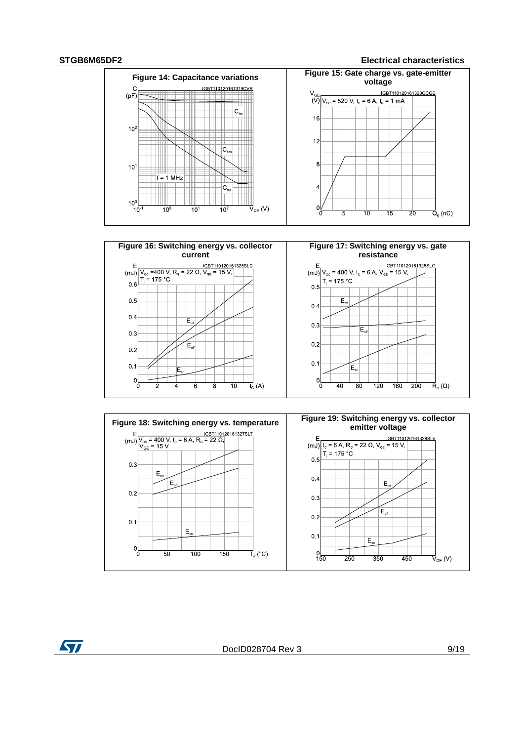$0<sub>1</sub>$ 

**ST** 

 $\begin{matrix} 0 \\ 0 \end{matrix}$ 

### **STGB6M65DF2 Electrical characteristics**





 $\overline{10}$ 

 $\overline{8}$ 

ี

 $\overrightarrow{I}_{C}$  (A)

 $0.1$ 

 $\int_{0}^{1}$ 

 $E_{\alpha}$ 

 $\overline{40}$ 

 $\overline{80}$ 

 $\overline{120}$ 

 $\frac{1}{160}$ 

 $\frac{1}{200}$ 

 $\overrightarrow{\mathsf{R}}_{\scriptscriptstyle{\mathsf{G}}}(\Omega)$ 

DocID028704 Rev 3 9/19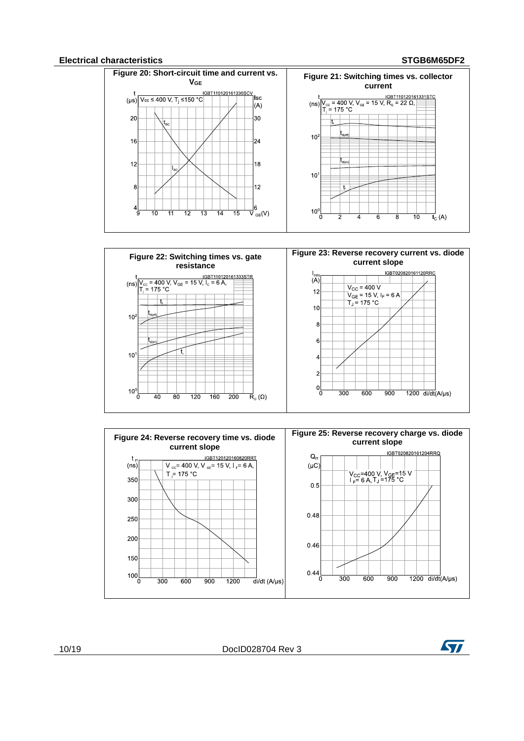### **Electrical characteristics STGB6M65DF2**

<span id="page-9-0"></span>

<span id="page-9-1"></span>

<span id="page-9-2"></span>

10/19 DocID028704 Rev 3

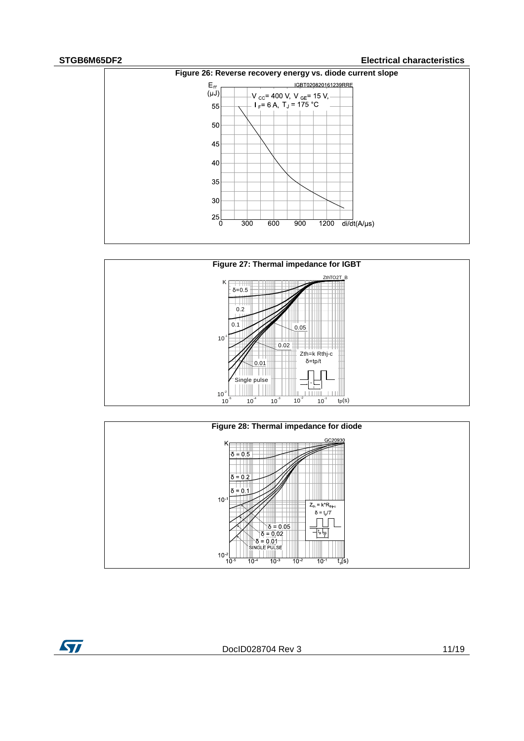ST

## **STGB6M65DF2 Electrical characteristics**

<span id="page-10-0"></span>





DocID028704 Rev 3 11/19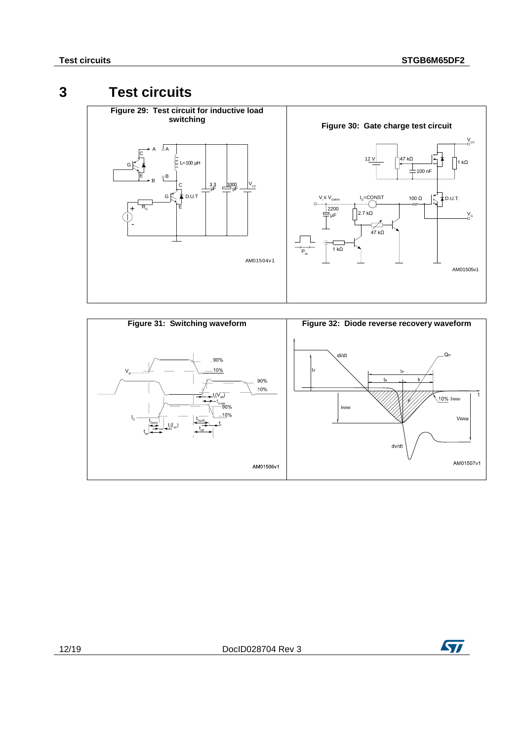# **3 Test circuits**

<span id="page-11-2"></span><span id="page-11-1"></span><span id="page-11-0"></span>



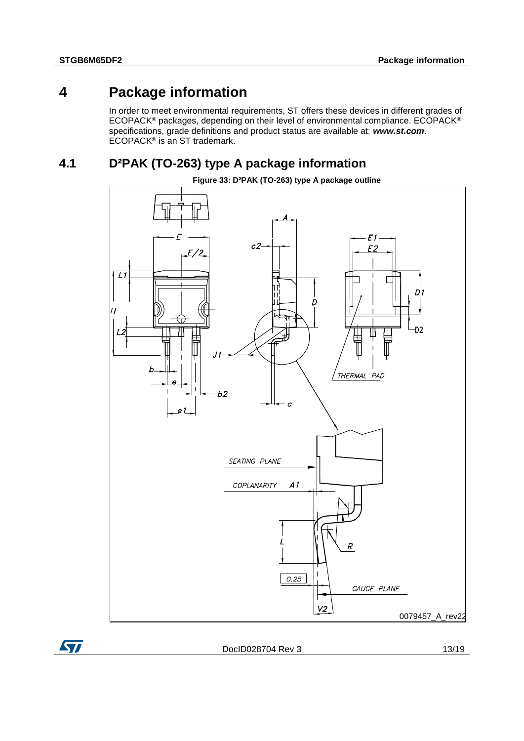**ST** 

# **4 Package information**

<span id="page-12-0"></span>In order to meet environmental requirements, ST offers these devices in different grades of ECOPACK® packages, depending on their level of environmental compliance. ECOPACK® specifications, grade definitions and product status are available at: *www.st.com*. ECOPACK<sup>®</sup> is an ST trademark.

# **4.1 D²PAK (TO-263) type A package information**

<span id="page-12-1"></span>

DocID028704 Rev 3 13/19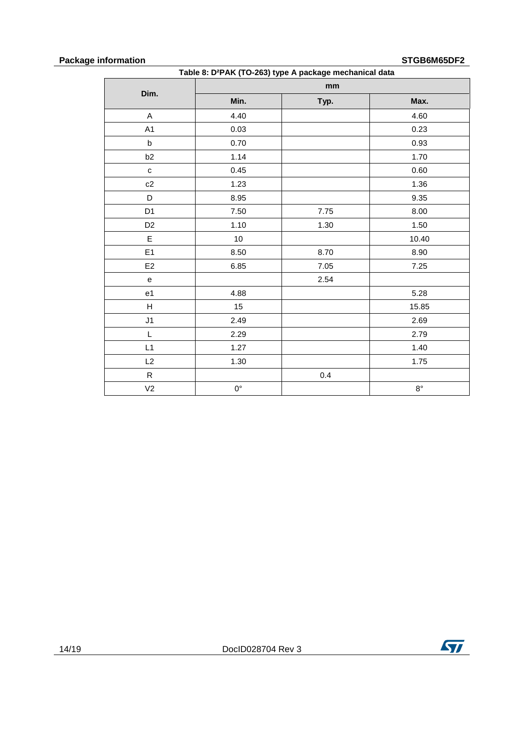## **Package information STGB6M65DF2**

| Table 8: D <sup>2</sup> PAK (TO-263) type A package mechanical data |             |      |             |  |
|---------------------------------------------------------------------|-------------|------|-------------|--|
|                                                                     |             | mm   |             |  |
| Dim.                                                                | Min.        | Typ. | Max.        |  |
| A                                                                   | 4.40        |      | 4.60        |  |
| A1                                                                  | 0.03        |      | 0.23        |  |
| $\sf b$                                                             | 0.70        |      | 0.93        |  |
| b2                                                                  | 1.14        |      | 1.70        |  |
| $\mathbf{C}$                                                        | 0.45        |      | 0.60        |  |
| c2                                                                  | 1.23        |      | 1.36        |  |
| D                                                                   | 8.95        |      | 9.35        |  |
| D <sub>1</sub>                                                      | 7.50        | 7.75 | 8.00        |  |
| D <sub>2</sub>                                                      | 1.10        | 1.30 | 1.50        |  |
| E                                                                   | 10          |      | 10.40       |  |
| E1                                                                  | 8.50        | 8.70 | 8.90        |  |
| E <sub>2</sub>                                                      | 6.85        | 7.05 | 7.25        |  |
| ${\bf e}$                                                           |             | 2.54 |             |  |
| e <sub>1</sub>                                                      | 4.88        |      | 5.28        |  |
| H                                                                   | 15          |      | 15.85       |  |
| J1                                                                  | 2.49        |      | 2.69        |  |
| L                                                                   | 2.29        |      | 2.79        |  |
| L1                                                                  | 1.27        |      | 1.40        |  |
| L2                                                                  | 1.30        |      | 1.75        |  |
| $\mathsf{R}$                                                        |             | 0.4  |             |  |
| V <sub>2</sub>                                                      | $0^{\circ}$ |      | $8^{\circ}$ |  |

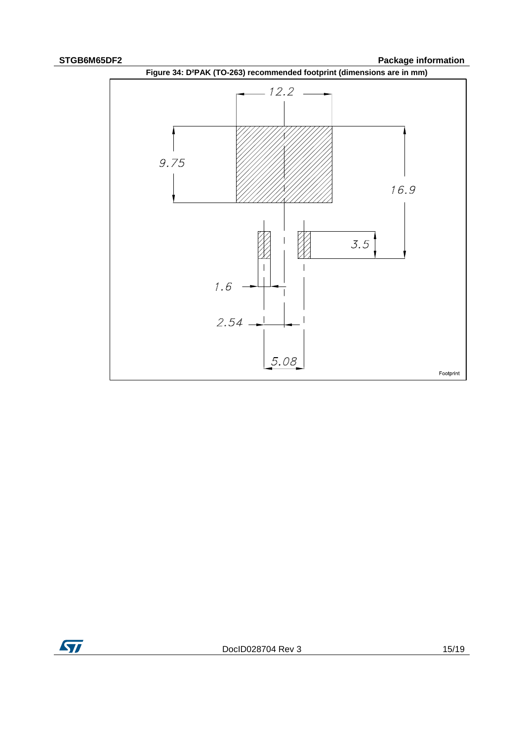**STGB6M65DF2 Package information** 





DocID028704 Rev 3 15/19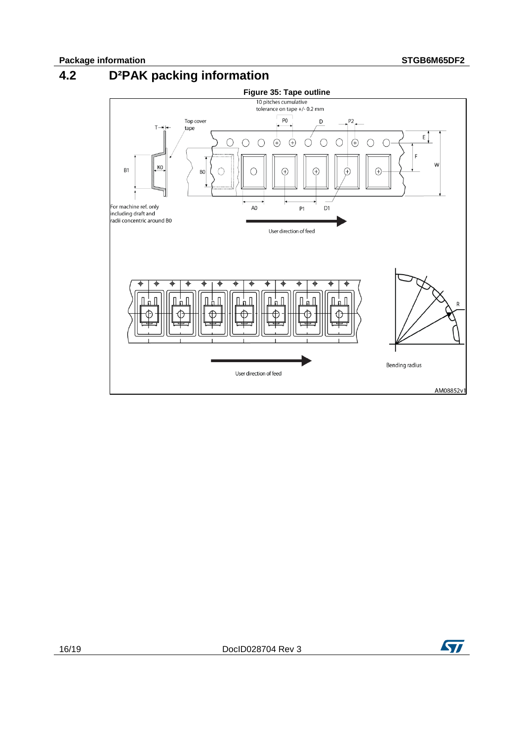# **4.2 D²PAK packing information**

<span id="page-15-0"></span>

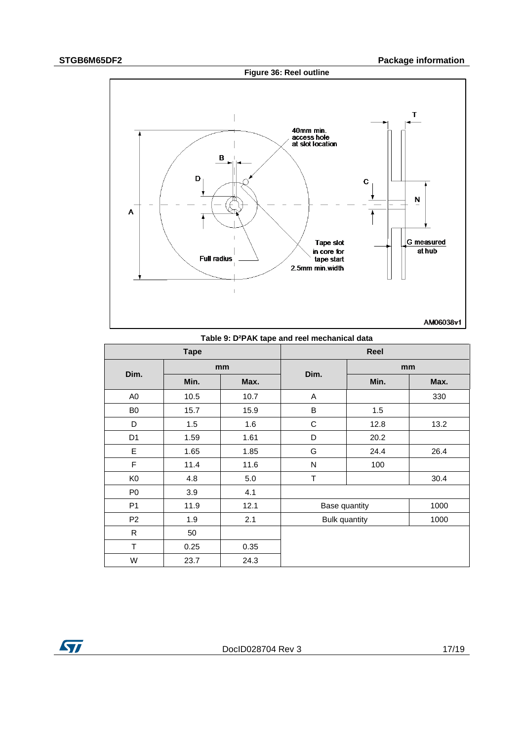

| Table 9: D-PAN tape and reel mechanical data |             |      |                      |      |      |  |
|----------------------------------------------|-------------|------|----------------------|------|------|--|
|                                              | <b>Tape</b> |      |                      | Reel |      |  |
|                                              | mm          |      |                      | mm   |      |  |
| Dim.                                         | Min.        | Max. | Dim.                 | Min. | Max. |  |
| A <sub>0</sub>                               | 10.5        | 10.7 | A                    |      | 330  |  |
| B <sub>0</sub>                               | 15.7        | 15.9 | B                    | 1.5  |      |  |
| D                                            | 1.5         | 1.6  | C                    | 12.8 | 13.2 |  |
| D <sub>1</sub>                               | 1.59        | 1.61 | D                    | 20.2 |      |  |
| E                                            | 1.65        | 1.85 | G                    | 24.4 | 26.4 |  |
| $\mathsf F$                                  | 11.4        | 11.6 | N                    | 100  |      |  |
| K <sub>0</sub>                               | 4.8         | 5.0  | T                    |      | 30.4 |  |
| P <sub>0</sub>                               | 3.9         | 4.1  |                      |      |      |  |
| P <sub>1</sub>                               | 11.9        | 12.1 | Base quantity        |      | 1000 |  |
| P <sub>2</sub>                               | 1.9         | 2.1  | <b>Bulk quantity</b> |      | 1000 |  |
| $\mathsf{R}$                                 | 50          |      |                      |      |      |  |
| $\mathsf T$                                  | 0.25        | 0.35 |                      |      |      |  |
| W                                            | 23.7        | 24.3 |                      |      |      |  |

**Table 9: D²PAK tape and reel mechanical data** 

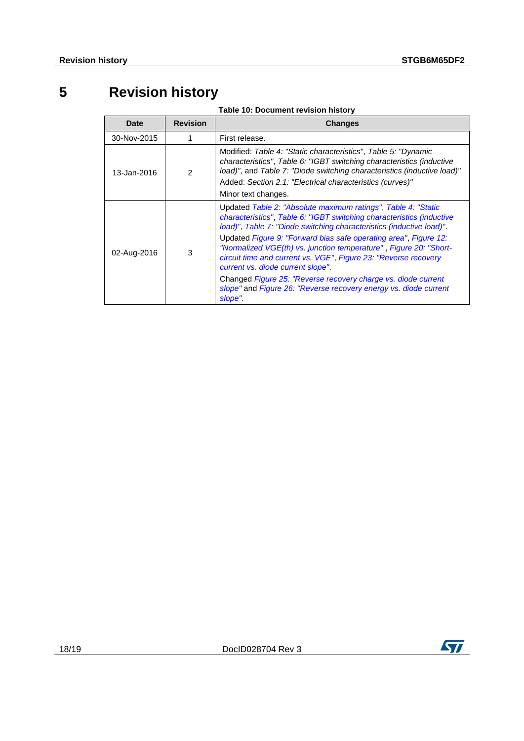# **5 Revision history**

| Table 10: Document revision history |
|-------------------------------------|
|-------------------------------------|

<span id="page-17-0"></span>

| <b>Date</b> | <b>Revision</b> | <b>Changes</b>                                                                                                                                                                                                                                                                                                                                                                                                                                                                                                                                                                                                 |
|-------------|-----------------|----------------------------------------------------------------------------------------------------------------------------------------------------------------------------------------------------------------------------------------------------------------------------------------------------------------------------------------------------------------------------------------------------------------------------------------------------------------------------------------------------------------------------------------------------------------------------------------------------------------|
| 30-Nov-2015 |                 | First release.                                                                                                                                                                                                                                                                                                                                                                                                                                                                                                                                                                                                 |
| 13-Jan-2016 | $\mathcal{P}$   | Modified: Table 4: "Static characteristics", Table 5: "Dynamic<br>characteristics", Table 6: "IGBT switching characteristics (inductive<br>load)", and Table 7: "Diode switching characteristics (inductive load)"<br>Added: Section 2.1: "Electrical characteristics (curves)"<br>Minor text changes.                                                                                                                                                                                                                                                                                                         |
| 02-Aug-2016 | 3               | Updated Table 2: "Absolute maximum ratings", Table 4: "Static<br>characteristics", Table 6: "IGBT switching characteristics (inductive<br>load)", Table 7: "Diode switching characteristics (inductive load)".<br>Updated Figure 9: "Forward bias safe operating area", Figure 12:<br>"Normalized VGE(th) vs. junction temperature", Figure 20: "Short-<br>circuit time and current vs. VGE", Figure 23: "Reverse recovery<br>current vs. diode current slope"<br>Changed Figure 25: "Reverse recovery charge vs. diode current<br>slope" and Figure 26: "Reverse recovery energy vs. diode current<br>slope". |